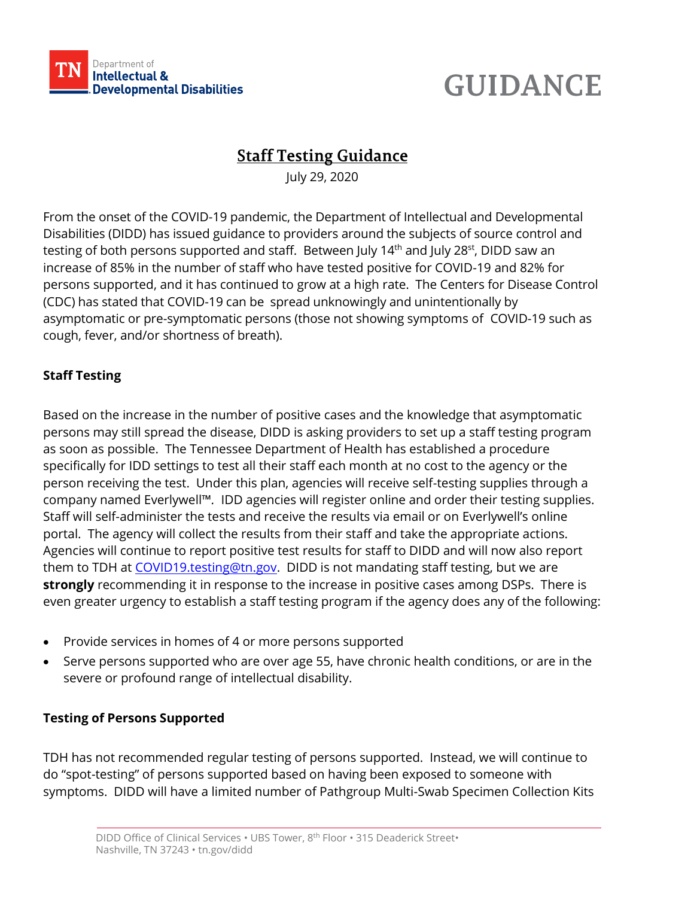

# **GUIDANCE**

## **Staff Testing Guidance**

July 29, 2020

From the onset of the COVID-19 pandemic, the Department of Intellectual and Developmental Disabilities (DIDD) has issued guidance to providers around the subjects of source control and testing of both persons supported and staff. Between July 14<sup>th</sup> and July 28<sup>st</sup>, DIDD saw an increase of 85% in the number of staff who have tested positive for COVID-19 and 82% for persons supported, and it has continued to grow at a high rate. The Centers for Disease Control (CDC) has stated that COVID-19 can be spread unknowingly and unintentionally by asymptomatic or pre-symptomatic persons (those not showing symptoms of COVID-19 such as cough, fever, and/or shortness of breath).

### **Staff Testing**

Based on the increase in the number of positive cases and the knowledge that asymptomatic persons may still spread the disease, DIDD is asking providers to set up a staff testing program as soon as possible. The Tennessee Department of Health has established a procedure specifically for IDD settings to test all their staff each month at no cost to the agency or the person receiving the test. Under this plan, agencies will receive self-testing supplies through a company named Everlywell™*.* IDD agencies will register online and order their testing supplies. Staff will self-administer the tests and receive the results via email or on Everlywell's online portal. The agency will collect the results from their staff and take the appropriate actions. Agencies will continue to report positive test results for staff to DIDD and will now also report them to TDH at [COVID19.testing@tn.gov.](mailto:COVID19.testing@tn.gov) DIDD is not mandating staff testing, but we are **strongly** recommending it in response to the increase in positive cases among DSPs. There is even greater urgency to establish a staff testing program if the agency does any of the following:

- Provide services in homes of 4 or more persons supported
- Serve persons supported who are over age 55, have chronic health conditions, or are in the severe or profound range of intellectual disability.

### **Testing of Persons Supported**

TDH has not recommended regular testing of persons supported. Instead, we will continue to do "spot-testing" of persons supported based on having been exposed to someone with symptoms. DIDD will have a limited number of Pathgroup Multi-Swab Specimen Collection Kits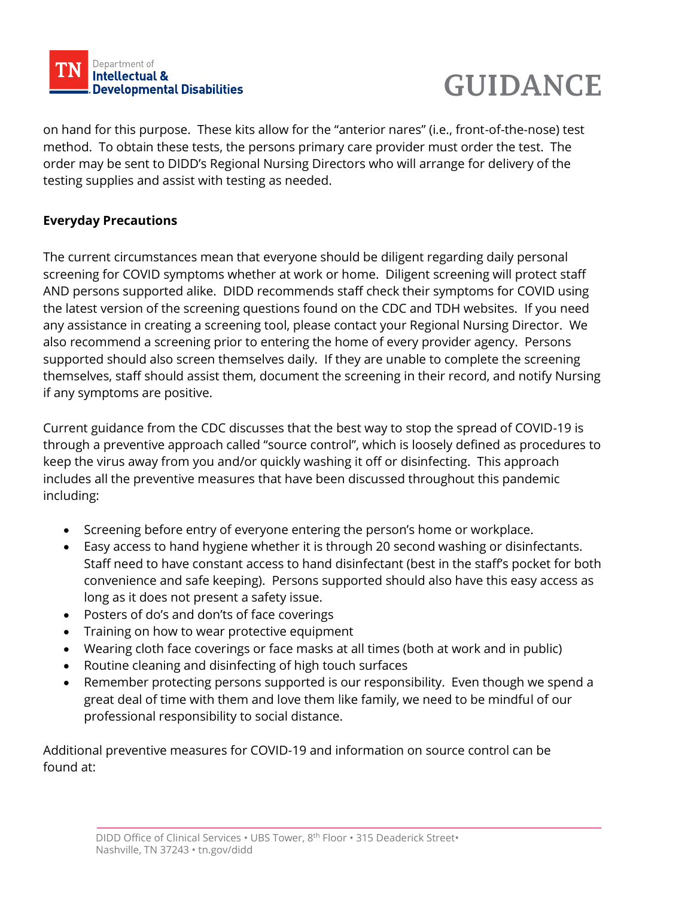



on hand for this purpose. These kits allow for the "anterior nares" (i.e., front-of-the-nose) test method. To obtain these tests, the persons primary care provider must order the test. The order may be sent to DIDD's Regional Nursing Directors who will arrange for delivery of the testing supplies and assist with testing as needed.

#### **Everyday Precautions**

The current circumstances mean that everyone should be diligent regarding daily personal screening for COVID symptoms whether at work or home. Diligent screening will protect staff AND persons supported alike. DIDD recommends staff check their symptoms for COVID using the latest version of the screening questions found on the CDC and TDH websites. If you need any assistance in creating a screening tool, please contact your Regional Nursing Director. We also recommend a screening prior to entering the home of every provider agency. Persons supported should also screen themselves daily. If they are unable to complete the screening themselves, staff should assist them, document the screening in their record, and notify Nursing if any symptoms are positive.

Current guidance from the CDC discusses that the best way to stop the spread of COVID-19 is through a preventive approach called "source control", which is loosely defined as procedures to keep the virus away from you and/or quickly washing it off or disinfecting. This approach includes all the preventive measures that have been discussed throughout this pandemic including:

- Screening before entry of everyone entering the person's home or workplace.
- Easy access to hand hygiene whether it is through 20 second washing or disinfectants. Staff need to have constant access to hand disinfectant (best in the staff's pocket for both convenience and safe keeping). Persons supported should also have this easy access as long as it does not present a safety issue.
- Posters of do's and don'ts of face coverings
- Training on how to wear protective equipment
- Wearing cloth face coverings or face masks at all times (both at work and in public)
- Routine cleaning and disinfecting of high touch surfaces
- Remember protecting persons supported is our responsibility. Even though we spend a great deal of time with them and love them like family, we need to be mindful of our professional responsibility to social distance.

Additional preventive measures for COVID-19 and information on source control can be found at: